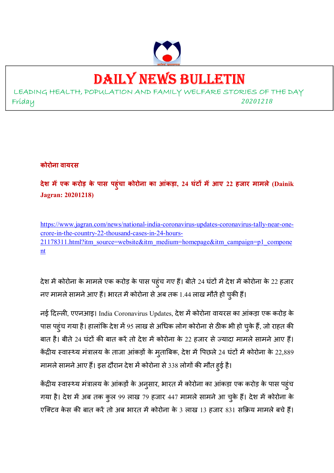

## DAILY NEWS BULLETIN

LEADING HEALTH, POPULATION AND FAMILY WELFARE STORIES OF THE DAY Friday *<sup>20201218</sup>*

**कोरोना वायरस**

**देश म
एक करोड़ के पास पहुंचा कोरोना का आंकड़ा, 24 घंट म
आए 22 हजार मामले (Dainik Jagran: 20201218)** 

https://www.jagran.com/news/national-india-coronavirus-updates-coronavirus-tally-near-onecrore-in-the-country-22-thousand-cases-in-24-hours-21178311.html?itm\_source=website&itm\_medium=homepage&itm\_campaign=p1\_compone nt

देश में कोरोना के मामले एक करोड़ के पास पहुंच गए हैं। बीते 24 घंटों में देश में कोरोना के 22 हजार नए मामले सामने आए हैं। भारत में कोरोना से अब तक 1.44 लाख मौतें हो चुकी हैं।

नई दिल्ली, एएनआइ। India Coronavirus Updates, देश में कोरोना वायरस का आंकड़ा एक करोड़ के पास पहुंच गया है। हालांकि देश में 95 लाख से अधिक लोग कोरोना से ठीक भी हो चुके हैं, जो राहत की बात है। बीते 24 घंटों की बात करें तो देश में कोरोना के 22 हजार से ज्यादा मामले सामने आए हैं। केंद्रीय स्वास्थ्य मंत्रालय के ताजा आंकड़ों के मुताबिक, देश में पिछले 24 घंटों में कोरोना के 22,889 मामले सामने आए हैं। इस दौरान देश में कोरोना से 338 लोगों की मौत हुई है।

केंद्रीय स्वास्थ्य मंत्रालय के आंकड़ों के अनुसार, भारत में कोरोना का आंकड़ा एक करोड़ के पास पहुंच गया है। देश में अब तक कुल 99 लाख 79 हजार 447 मामले सामने आ चुके हैं। देश में कोरोना के एक्टिव केस की बात करें तो अब भारत में कोरोना के 3 लाख 13 हजार 831 सक्रिय मामले बचे हैं।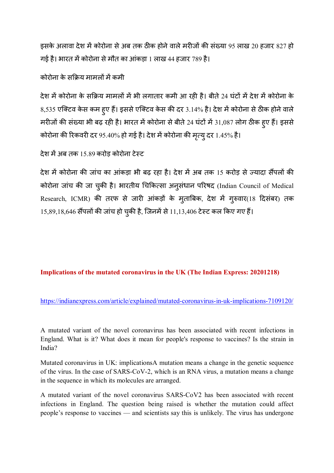इसके अलावा देश में कोरोना से अब तक ठीक होने वाले मरीजों की संख्या 95 लाख 20 हजार 827 हो गई है। भारत में कोरोना से मौत का आंकड़ा 1 लाख 44 हजार 789 है।

कोरोना के सक्रिय मामलों में कमी

देश में कोरोना के सक्रिय मामलों में भी लगातार कमी आ रही है। बीते 24 घंटों में देश में कोरोना के  $8,535$  एक्टिव केस कम हुए हैं। इससे एक्टिव केस की दर 3.14% है। देश में कोरोना से ठीक होने वाले मरीजों की संख्या भी बढ़ रही है। भारत में कोरोना से बीते 24 घंटों में 31,087 लोग ठीक हुए हैं। इससे कोरोना की रिकवरी दर 95.40% हो गई है। देश में कोरोना की मृत्यु दर 1.45% है।

देश में अब तक 15.89 करोड़ कोरोना टेस्ट

देश में कोरोना की जांच का आंकड़ा भी बढ़ रहा है। देश में अब तक 15 करोड़ से ज्यादा सैंपलों की कोरोना जांच की जा चुकी है। भारतीय चिकित्सा अनुसंधान परिषद (Indian Council of Medical Research, ICMR) की तरफ से जारी आंकड़ों के मुताबिक, देश में गुरुवार(18 दिसंबर) तक  $15,89,18,646$  सैंपलों की जांच हो चुकी है, जिनमें से  $11,13,406$  टेस्ट कल किए गए हैं।

#### **Implications of the mutated coronavirus in the UK (The Indian Express: 20201218)**

https://indianexpress.com/article/explained/mutated-coronavirus-in-uk-implications-7109120/

A mutated variant of the novel coronavirus has been associated with recent infections in England. What is it? What does it mean for people's response to vaccines? Is the strain in India?

Mutated coronavirus in UK: implicationsA mutation means a change in the genetic sequence of the virus. In the case of SARS-CoV-2, which is an RNA virus, a mutation means a change in the sequence in which its molecules are arranged.

A mutated variant of the novel coronavirus SARS-CoV2 has been associated with recent infections in England. The question being raised is whether the mutation could affect people's response to vaccines — and scientists say this is unlikely. The virus has undergone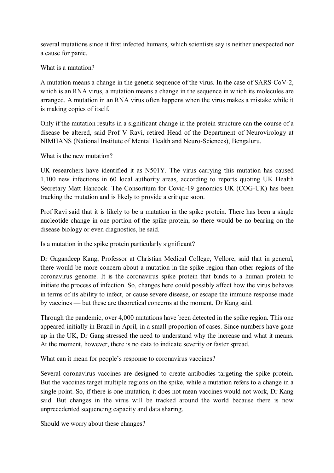several mutations since it first infected humans, which scientists say is neither unexpected nor a cause for panic.

What is a mutation?

A mutation means a change in the genetic sequence of the virus. In the case of SARS-CoV-2, which is an RNA virus, a mutation means a change in the sequence in which its molecules are arranged. A mutation in an RNA virus often happens when the virus makes a mistake while it is making copies of itself.

Only if the mutation results in a significant change in the protein structure can the course of a disease be altered, said Prof V Ravi, retired Head of the Department of Neurovirology at NIMHANS (National Institute of Mental Health and Neuro-Sciences), Bengaluru.

What is the new mutation?

UK researchers have identified it as N501Y. The virus carrying this mutation has caused 1,100 new infections in 60 local authority areas, according to reports quoting UK Health Secretary Matt Hancock. The Consortium for Covid-19 genomics UK (COG-UK) has been tracking the mutation and is likely to provide a critique soon.

Prof Ravi said that it is likely to be a mutation in the spike protein. There has been a single nucleotide change in one portion of the spike protein, so there would be no bearing on the disease biology or even diagnostics, he said.

Is a mutation in the spike protein particularly significant?

Dr Gagandeep Kang, Professor at Christian Medical College, Vellore, said that in general, there would be more concern about a mutation in the spike region than other regions of the coronavirus genome. It is the coronavirus spike protein that binds to a human protein to initiate the process of infection. So, changes here could possibly affect how the virus behaves in terms of its ability to infect, or cause severe disease, or escape the immune response made by vaccines — but these are theoretical concerns at the moment, Dr Kang said.

Through the pandemic, over 4,000 mutations have been detected in the spike region. This one appeared initially in Brazil in April, in a small proportion of cases. Since numbers have gone up in the UK, Dr Gang stressed the need to understand why the increase and what it means. At the moment, however, there is no data to indicate severity or faster spread.

What can it mean for people's response to coronavirus vaccines?

Several coronavirus vaccines are designed to create antibodies targeting the spike protein. But the vaccines target multiple regions on the spike, while a mutation refers to a change in a single point. So, if there is one mutation, it does not mean vaccines would not work, Dr Kang said. But changes in the virus will be tracked around the world because there is now unprecedented sequencing capacity and data sharing.

Should we worry about these changes?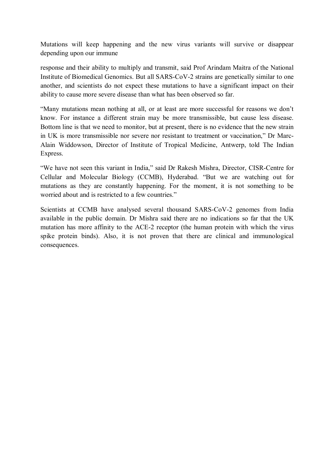Mutations will keep happening and the new virus variants will survive or disappear depending upon our immune

response and their ability to multiply and transmit, said Prof Arindam Maitra of the National Institute of Biomedical Genomics. But all SARS-CoV-2 strains are genetically similar to one another, and scientists do not expect these mutations to have a significant impact on their ability to cause more severe disease than what has been observed so far.

"Many mutations mean nothing at all, or at least are more successful for reasons we don't know. For instance a different strain may be more transmissible, but cause less disease. Bottom line is that we need to monitor, but at present, there is no evidence that the new strain in UK is more transmissible nor severe nor resistant to treatment or vaccination," Dr Marc-Alain Widdowson, Director of Institute of Tropical Medicine, Antwerp, told The Indian Express.

"We have not seen this variant in India," said Dr Rakesh Mishra, Director, CISR-Centre for Cellular and Molecular Biology (CCMB), Hyderabad. "But we are watching out for mutations as they are constantly happening. For the moment, it is not something to be worried about and is restricted to a few countries."

Scientists at CCMB have analysed several thousand SARS-CoV-2 genomes from India available in the public domain. Dr Mishra said there are no indications so far that the UK mutation has more affinity to the ACE-2 receptor (the human protein with which the virus spike protein binds). Also, it is not proven that there are clinical and immunological consequences.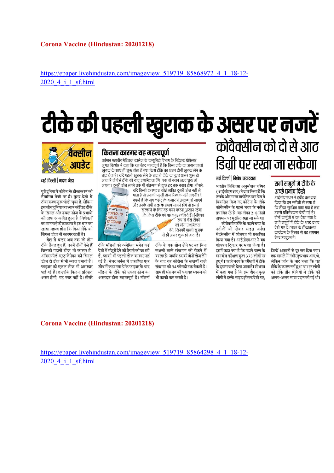#### **Corona Vaccine (Hindustan: 20201218)**

https://epaper.livehindustan.com/imageview\_519719\_85868972\_4\_1\_18-12- $2020\,4\text{ i}\,1\text{ s}$ f html

# टीके की पहली खुराक के असर पर नजरें



नई दिल्ली | मदन जैडा

पूरी दुनिया में कोरोना के टीकाकरण की तैयारियां तेजी पर हैं। कुछ देशों में टीकाकरण शुरू भी हो चुका है, लेकिन इस बीच दनिया का ध्यान कोविड टीके के सिंगल और डबल डोज के प्रभावों की तरफ आकर्षित हुआ है। विशेषज्ञों का मानना है टीकाकरण में इस बात का खासा महत्व होगा कि किस टीके की सिंगल डोज भी कारगर रहती है।

देश से बाहर अब तक जो तीन टीके तैयार हुए हैं, उनमें तीनों ऐसे हैं जिनकी पहली डोज भी कारगर है। ऑक्सफोर्ड-एस्ट्राजेनेका की सिंगल डोज दो डोज से भी ज्यादा प्रभावी है। फाइजर की एकल डोज भी असरदार पाई गई है। हालांकि कितना प्रतिशत असर होगी, यह स्पष्ट नहीं है। तीसरे

#### कितना कारगर यह महत्वपर्ण

वर्धमान महावीर मेडिकल कालेज के कम्युनिटी विभाग के निदेशक प्रोफेसर जुगल किशोर ने कहा कि यह बेहद महत्वपूर्ण है कि किस टीके का असर पहली खुराक के साथ ही शुरू होता है तथा किस टीके का असर दोनों खुराक लेने के बाद होता है। यदि पहली खुराक लेने के बाद ही टीके का कुछ असर शुरू हो जाता है तो ऐसे टीके को राष्ट्र प्राथमिकता देंगे। एक तो बचाव जल्द शुरू हो जाएगा। दूसरी डोज लगने तक भी संक्रमण से कुछ हद तक बचाव होगा। तीसरे,

यदि किसी कारणवश कोई व्यक्ति दूसरी डोज नहीं ले

पाता है तो उसकी पहली डोज निरर्थक नहीं जाएगी। वे

कहते हैं कि जब कई टीके बाजार में उपलब्ध हो जाएंगे

और उनके सभी तरह के प्रभाव सामने होंगे तो इससे

सरकारों के लिए यह चयन करना अ़ुम्सान रहेगा

कि किस टीके को वह लगान्र⊦र्चाहते हैं । निश्चित



टीके मॉडर्ना को अमेरिका समेत कई देशों में मंजूरी देने की तैयारी की जा रही है, इसकी भी पहली डोज कारगर पाई गई है। नेचर जर्नल में प्रकाशित एक शोध में कहा गया है कि फाइजर के बाद मॉडर्ना के टीके की एकल डोज का

असरदार होना महत्वपूर्ण है। मॉडर्ना

देंगे, जिनकी पहली खुराक से ही असर शुरू हो जाता है। टीके के एक डोज लेने पर यह बिना लक्षणों वाले संक्रमण को रोकने में कारगर है। जबकि इसकी दोनों डोज लेने के बाद यह कोरोना के लक्षणों वाले

संक्रमण को 94 फीसदी तक रोकती है। साथ ही संक्रमण की भयावह स्वरूप को भी काफी कम करती है।

.<br>रूप से ऐसे टीकों

को लोग पाथमिकता

# कोवैक्सीन को दो से आठ डिग्री पर रखा जा सकेगा

नई दिल्ली | विशेष संवाददाता

भारतीय चिकित्सा अनुसंधान परिषद (आईसीएमआर) ने दावा किया है कि उसके और भारत बायोटेक द्रारा देश में विकसित किए गए कोरोना के टीके कोवैक्सीन के पहले चरण के नतीजे प्रभावित रहे हैं। यह टीका 2-8 डिग्री तापमान पर सुरक्षित रखा जा सकेगा।

कोवैक्सीन टीके के पहले चरण के नतीजों को लेकर साइंस जर्नल .<br>मेडरेक्सीव में शोधपत्र भी प्रकाशित किया गया है। आईसीएमआर ने यह शोधपत्र टिवटर पर साक्षा किया है। इसमें कहा गया है कि पहले चरण के मानवीय परीक्षण कुल 375 लोगों पर हुए थे। पहले चरण के परीक्षणों में टीके के दुष्प्रभाव को देखा जाता है। शोधपत्र में कहा गया है कि इस दौरान कछ लोगों में हल्के साइड इफेक्ट देखे गए.

#### सभी समूहों में टीके के अच्छे प्रमाव दिखे

आईसीएमआर ने टवीट कर दावा किया कि इन नतीजों से साफ है कि टीका सुरक्षित पाया गया है तथा उससे प्रतिरोधकता देखी गई है। तीनों फार्मूलों में यह देखा गया है। सभी समूहों में टीके के अच्छे प्रभाव देखे गए हैं। भारत के टीकाकरण कार्यक्रम के हिसाब से यह तापमान बेहद उपयुक्त है।

जिन्हें आसानी से दूर कर दिया गया। एक मामले में गंभीर दुष्प्रभाव आए थे, लेकिन जांच के बाद चला कि वह टीके के कारण नहीं हुआ था। इन लोगों को टीके तीन श्रेणियों में टीके की अलग-अलग मात्रा प्रदान की गई थी।

#### **Corona Vaccine (Hindustan: 20201218)**

https://epaper.livehindustan.com/imageview\_519719\_85864298\_4\_1\_18-12-2020\_4\_i\_1\_sf.html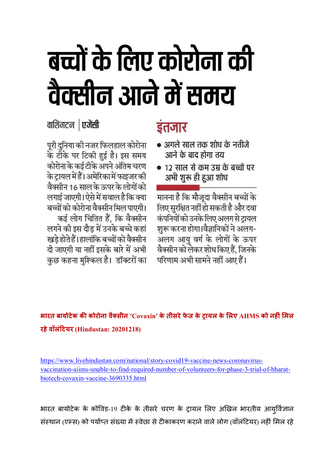# बच्चों के लिए कोरोना की वैक्सीन आने में समय

### इंतजार

- अगले साल तक शोध के नतीजे आने के बाद होगा तय
- 12 साल से कम उम्र के बच्चों पर अभी शुरू ही हुआ शोध

मानना है कि मौजूदा वैक्सीन बच्चों के लिए सुरक्षित नहीं हो सकती है और दवा कंपनियों को उनके लिए अलग से ट्रायल शुरू करना होगा।वैज्ञानिकों ने अलग-अलग आयु वर्ग के लोगों के ऊपर वैक्सीन को लेकर शोध किए हैं, जिनके परिणाम अभी सामने नहीं आए हैं।

### वाशिंगटन | एजेंसी

पूरी दुनिया की नजर फिलहाल कोरोना के टोके पर टिकी हुई है। इस समय कोरोना के कई टीके अपने अंतिम चरण के टायल में हैं। अमेरिका में फाइजर की वैक्सीन 16 साल के ऊपर के लोगों को लगाई जाएगी। ऐसे में सवाल है कि क्या बच्चों को कोरोना वैक्सीन मिल पाएगी। कई लोग चिंतित हैं, कि वैक्सीन लगने की इस दौड़ में उनके बच्चे कहां खड़े होते हैं। हालांकि बच्चों को वैक्सीन दी जाएगी या नहीं इसके बारे में अभी कुछ कहना मुश्किल है। डॉक्टरों का

**भारत बायोटेक क कोरोना वै सीन 'Covaxin' के तीसरेफे ज के #ायल के \$लए AIIMS को नह%ं\$मल रहेवॉलं'टयर (Hindustan: 20201218)** 

https://www.livehindustan.com/national/story-covid19-vaccine-news-coronavirusvaccination-aiims-unable-to-find-required-number-of-volunteers-for-phase-3-trial-of-bharatbiotech-covaxin-vaccine-3690335.html

भारत बायोटेक के कोविड-19 टीके के तीसरे चरण के ट्रायल लिए अखिल भारतीय आयुर्विज्ञान संस्थान (एम्स) को पर्याप्त संख्या में स्वेछा से टीकाकरण कराने वाले लोग (वॉलंटियर) नहीं मिल रहे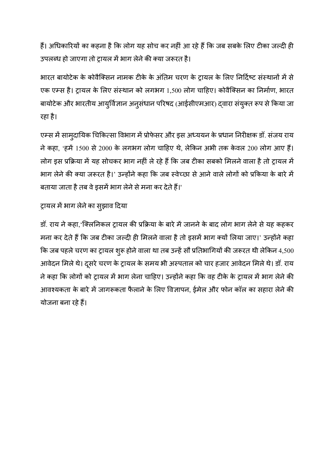हैं। अधिकारियों का कहना है कि लोग यह सोच कर नहीं आ रहे हैं कि जब सबके लिए टीका जल्दी ही उपलब्ध हो जाएगा तो ट्रायल में भाग लेने की क्या जरूरत है।

भारत बायोटेक के कोवैक्सिन नामक टीके के अंतिम चरण के ट्रायल के लिए निर्दिष्ट संस्थानों में से एक एम्स है। ट्रायल के लिए संस्थान को लगभग 1,500 लोग चाहिए। कोवैक्सिन का निर्माण, भारत बायोटेक और भारतीय आयुर्विज्ञान अनुसंधान परिषद (आईसीएमआर) द्वारा संयुक्त रूप से किया जा रहा है।

एम्स में सामुदायिक चिकित्सा विभाग में प्रोफेसर और इस अध्ययन के प्रधान निरीक्षक डॉ. संजय राय ने कहा, 'हमें 1500 से 2000 के लगभग लोग चाहिए थे, लेकिन अभी तक केवल 200 लोग आए हैं। लोग इस प्रक्रिया में यह सोचकर भाग नहीं ले रहे हैं कि जब टीका सबको मिलने वाला है तो ट्रायल में भाग लेने की क्या जरूरत है।' उन्होंने कहा कि जब स्वेच्छा से आने वाले लोगों को प्रकिया के बारे में बताया जाता है तब वे इसमें भाग लेने से मना कर देते हैं।'

#### ट्रायल में भाग लेने का सुझाव दिया

डॉ. राय ने कहा,'क्लिनिकल ट्रायल की प्रक्रिया के बारे में जानने के बाद लोग भाग लेने से यह कहकर मना कर देते हैं कि जब टीका जल्दी ही मिलने वाला है तो इसमें भाग क्यों लिया जाए।' उन्होंने कहा कि जब पहले चरण का ट्रायल शुरू होने वाला था तब उन्हें सौ प्रतिभागियों की जरूरत थी लेकिन 4,500 आवेदन मिले थे। दूसरे चरण के ट्रायल के समय भी अस्पताल को चार हजार आवेदन मिले थे। डॉ. राय ने कहा कि लोगों को ट्रायल में भाग लेना चाहिए। उन्होंने कहा कि वह टीके के ट्रायल में भाग लेने की आवश्यकता के बारे में जागरूकता फैलाने के लिए विज्ञापन, ईमेल और फोन कॉल का सहारा लेने की योजना बना रहेह।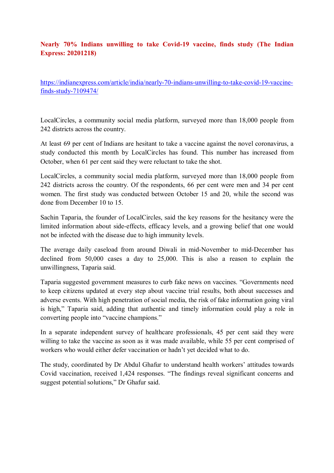#### **Nearly 70% Indians unwilling to take Covid-19 vaccine, finds study (The Indian Express: 20201218)**

https://indianexpress.com/article/india/nearly-70-indians-unwilling-to-take-covid-19-vaccinefinds-study-7109474/

LocalCircles, a community social media platform, surveyed more than 18,000 people from 242 districts across the country.

At least 69 per cent of Indians are hesitant to take a vaccine against the novel coronavirus, a study conducted this month by LocalCircles has found. This number has increased from October, when 61 per cent said they were reluctant to take the shot.

LocalCircles, a community social media platform, surveyed more than 18,000 people from 242 districts across the country. Of the respondents, 66 per cent were men and 34 per cent women. The first study was conducted between October 15 and 20, while the second was done from December 10 to 15.

Sachin Taparia, the founder of LocalCircles, said the key reasons for the hesitancy were the limited information about side-effects, efficacy levels, and a growing belief that one would not be infected with the disease due to high immunity levels.

The average daily caseload from around Diwali in mid-November to mid-December has declined from 50,000 cases a day to 25,000. This is also a reason to explain the unwillingness, Taparia said.

Taparia suggested government measures to curb fake news on vaccines. "Governments need to keep citizens updated at every step about vaccine trial results, both about successes and adverse events. With high penetration of social media, the risk of fake information going viral is high," Taparia said, adding that authentic and timely information could play a role in converting people into "vaccine champions."

In a separate independent survey of healthcare professionals, 45 per cent said they were willing to take the vaccine as soon as it was made available, while 55 per cent comprised of workers who would either defer vaccination or hadn't yet decided what to do.

The study, coordinated by Dr Abdul Ghafur to understand health workers' attitudes towards Covid vaccination, received 1,424 responses. "The findings reveal significant concerns and suggest potential solutions," Dr Ghafur said.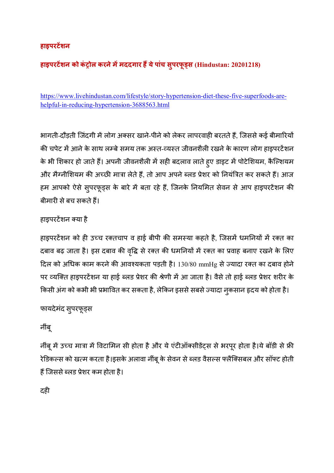#### **हाइपरट
शन**

#### हाइपरटेंशन को कंट्रोल करने में मददगार हैं ये पांच सुपरफूड्स (Hindustan: 20201218)

https://www.livehindustan.com/lifestyle/story-hypertension-diet-these-five-superfoods-arehelpful-in-reducing-hypertension-3688563.html

भागती-दौड़ती जिंदगी में लोग अक्सर खाने-पीने को लेकर लापरवाही बरतते हैं, जिससे कई बीमारियों की चपेट में आने के साथ लम्बे समय तक अस्त-व्यस्त जीवनशैली रखने के कारण लोग हाइपरटेंशन के भी शिकार हो जाते हैं। अपनी जीवनशैली में सही बदलाव लाते हुए डाइट में पोटेशियम, कैल्शियम और मैग्नीशियम की अच्छी मात्रा लेते हैं, तो आप अपने ब्लड प्रेशर को नियंत्रित कर सकते हैं। आज हम आपको ऐसे सुपरफूड्स के बारे में बता रहे हैं, जिनके नियमित सेवन से आप हाइपरटेंशन की बीमारी से बच सकते हैं।

#### हाइपरटेंशन क्या है

हाइपरटेंशन को ही उच्च रक्तचाप व हाई बीपी की समस्या कहते है, जिसमें धमनियों में रक्त का दबाव बढ़ जाता है। इस दबाव की वृद्धि से रक्त की धमनियों में रक्त का प्रवाह बनाए रखने के लिए दिल को अधिक काम करने की आवश्यकता पड़ती है। 130/80 mmHg से ज्यादा रक्त का दबाव होने पर व्यक्ति हाइपरटेंशन या हाई ब्लड प्रेशर की श्रेणी में आ जाता है। वैसे तो हाई ब्लड प्रेशर शरीर के किसी अंग को कभी भी प्रभावित कर सकता है, लेकिन इससे सबसे ज्यादा नुकसान हृदय को होता है।

#### फायदेमंद सुपरफूड्स

नींबू

नींबू में उच्च मात्रा में विटामिन सी होता है और ये एंटीऑक्सीडेंट्स से भरपूर होता है।ये बॉडी से फ्री रेडिकल्स को खत्म करता है।इसके अलावा नींबू के सेवन से ब्लड वैसल्स फ्लैक्सिबल और सॉफ्ट होती हैं जिससे ब्लड प्रेशर कम होता है।

दही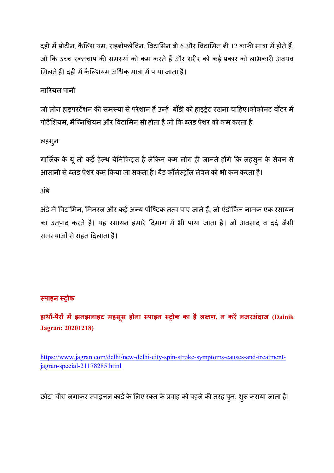दही में प्रोटीन, कैल्शि यम, राइबोफ्लेविन, विटामिन बी 6 और विटामिन बी 12 काफी मात्रा में होते हैं, जो कि उच्च रक्तचाप की समस्यां को कम करते हैं और शरीर को कई प्रकार को लाभकारी अवयव मिलते हैं। दही में कैल्शियम अधिक मात्रा में पाया जाता है।

#### नारियल पानी

जो लोग हाइपरटेंशन की समस्या से परेशान हैं उन्हें बॉडी को हाइड्रेट रखना चाहिए।कोकोनट वॉटर में पोटैशियम, मैग्निशियम और विटामिन सी होता है जो कि ब्लड प्रेशर को कम करता है।

#### लहसुन

गार्लिक के यूं तो कई हेल्थ बेनिफिट्स हैं लेकिन कम लोग ही जानते होंगे कि लहसुन के सेवन से आसानी से ब्लड प्रेशर कम किया जा सकता है। बैड कॉलेस्ट्रॉल लेवल को भी कम करता है।

#### अंडे

अंडे में विटामिन, मिनरल और कई अन्य पौष्टिक तत्व पाए जाते हैं, जो एंडोर्फिन नामक एक रसायन का उत्पाद करते है। यह रसायन हमारे दिमाग में भी पाया जाता है। जो अवसाद व दर्द जैसी समस्याओं से राहत दिलाता है।

#### **-पाइन -#ोक**

**हाथ-पैर म
झनझनाहट महसूस होना -पाइन -#ोक का हैल0ण, न कर
नजरअंदाज (Dainik Jagran: 20201218)** 

https://www.jagran.com/delhi/new-delhi-city-spin-stroke-symptoms-causes-and-treatmentjagran-special-21178285.html

छोटा चीरा लगाकर स्पाइनल कार्ड के लिए रक्त के प्रवाह को पहले की तरह पून: शुरू कराया जाता है।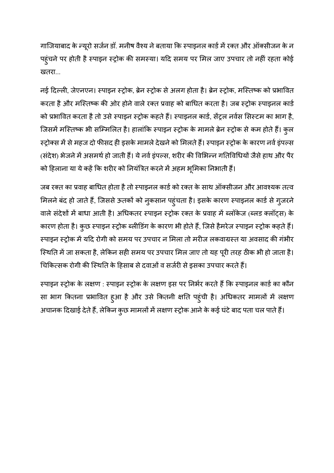गाजियाबाद के न्यूरो सर्जन डॉ. मनीष वैश्य ने बताया कि स्पाइनल कार्ड में रक्त और ऑक्सीजन के न पहुंचने पर होती है स्पाइन स्ट्रोक की समस्या। यदि समय पर मिल जाए उपचार तो नहीं रहता कोई खतरा

नई दिल्ली, जेएनएन। स्पाइन स्ट्रोक, ब्रेन स्ट्रोक से अलग होता है। ब्रेन स्ट्रोक, मस्तिष्क को प्रभावित करता है और मस्तिष्क की ओर होने वाले रक्त प्रवाह को बाधित करता है। जब स्ट्रोक स्पाइनल कार्ड को प्रभावित करता है तो उसे स्पाइन स्ट्रोक कहते हैं। स्पाइनल कार्ड, सेंट्रल नर्वस सिस्टम का भाग है, जिसमें मस्तिष्क भी सम्मिलित है। हालांकि स्पाइन स्ट्रोक के मामले ब्रेन स्ट्रोक से कम होते हैं। कुल स्ट्रोक्स में से महज दो फीसद ही इसके मामले देखने को मिलते हैं। स्पाइन स्ट्रोक के कारण नर्व इंपल्स (संदेश) भेजने में असमर्थ हो जाती हैं। ये नर्व इंपल्स, शरीर की विभिन्न गतिविधियों जैसे हाथ और पैर को हिलाना या ये कहें कि शरीर को नियंत्रित करने में अहम भूमिका निभाती हैं।

जब रक्त का प्रवाह बाधित होता है तो स्पाइनल कार्ड को रक्त के साथ ऑक्सीजन और आवश्यक तत्व मिलने बंद हो जाते हैं, जिससे ऊतकों को नुकसान पहुंचता है। इसके कारण स्पाइनल कार्ड से गुजरने वाले संदेशों में बाधा आती है। अधिकतर स्पाइन स्ट्रोक रक्त के प्रवाह में ब्लॉकेज (ब्लड क्लॉट्स) के कारण होता है। कुछ स्पाइन स्ट्रोक ब्लीडिंग के कारण भी होते हैं, जिसे हैमरेज स्पाइन स्ट्रोक कहते हैं। स्पाइन स्ट्रोक में यदि रोगी को समय पर उपचार न मिला तो मरीज लकवाग्रस्त या अवसाद की गंभीर स्थिति में जा सकता है, लेकिन सही समय पर उपचार मिल जाए तो यह पूरी तरह ठीक भी हो जाता है। चिकित्सक रोगी की स्थिति के हिसाब से दवाओं व सर्जरी से इसका उपचार करते हैं।

स्पाइन स्ट्रोक के लक्षण : स्पाइन स्ट्रोक के लक्षण इस पर निर्भर करते हैं कि स्पाइनल कार्ड का कौन सा भाग कितना प्रभावित हुआ है और उसे कितनी क्षति पहुंची है। अधिकतर मामलों में लक्षण अचानक दिखाई देते हैं, लेकिन कुछ मामलों में लक्षण स्ट्रोक आने के कई घंटे बाद पता चल पाते हैं।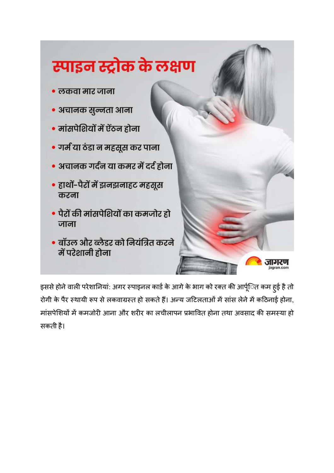

इससे होने वाली परेशानियां: अगर स्पाइनल कार्ड के आगे के भाग को रक्त की आर्पूित कम हुई है तो रोगी के पैर स्थायी रूप से लकवाग्रस्त हो सकते हैं। अन्य जटिलताओं में सांस लेने में कठिनाई होना, मांसपेशियों में कमजोरी आना और शरीर का लचीलापन प्रभावित होना तथा अवसाद की समस्या हो सकती है।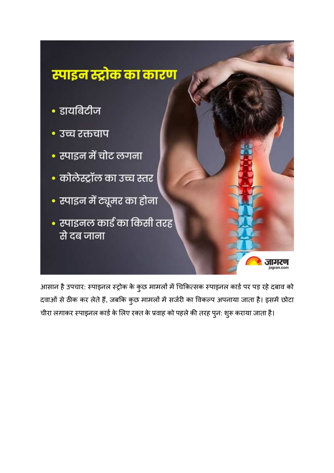

आसान है उपचार: स्पाइनल स्ट्रोक के कुछ मामलों में चिकित्सक स्पाइनल कार्ड पर पड़ रहे दबाव को दवाओं से ठीक कर लेते हैं, जबकि कुछ मामलों में सर्जरी का विकल्प अपनाया जाता है। इसमें छोटा चीरा लगाकर स्पाइनल कार्ड के लिए रक्त के प्रवाह को पहले की तरह पुन: शुरू कराया जाता है।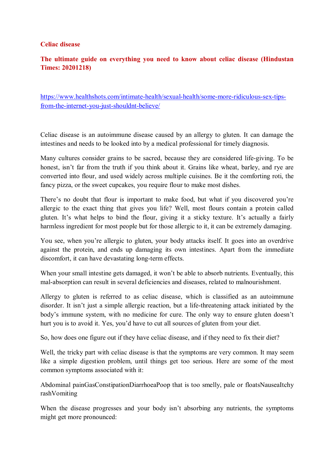#### **Celiac disease**

#### **The ultimate guide on everything you need to know about celiac disease (Hindustan Times: 20201218)**

https://www.healthshots.com/intimate-health/sexual-health/some-more-ridiculous-sex-tipsfrom-the-internet-you-just-shouldnt-believe/

Celiac disease is an autoimmune disease caused by an allergy to gluten. It can damage the intestines and needs to be looked into by a medical professional for timely diagnosis.

Many cultures consider grains to be sacred, because they are considered life-giving. To be honest, isn't far from the truth if you think about it. Grains like wheat, barley, and rye are converted into flour, and used widely across multiple cuisines. Be it the comforting roti, the fancy pizza, or the sweet cupcakes, you require flour to make most dishes.

There's no doubt that flour is important to make food, but what if you discovered you're allergic to the exact thing that gives you life? Well, most flours contain a protein called gluten. It's what helps to bind the flour, giving it a sticky texture. It's actually a fairly harmless ingredient for most people but for those allergic to it, it can be extremely damaging.

You see, when you're allergic to gluten, your body attacks itself. It goes into an overdrive against the protein, and ends up damaging its own intestines. Apart from the immediate discomfort, it can have devastating long-term effects.

When your small intestine gets damaged, it won't be able to absorb nutrients. Eventually, this mal-absorption can result in several deficiencies and diseases, related to malnourishment.

Allergy to gluten is referred to as celiac disease, which is classified as an autoimmune disorder. It isn't just a simple allergic reaction, but a life-threatening attack initiated by the body's immune system, with no medicine for cure. The only way to ensure gluten doesn't hurt you is to avoid it. Yes, you'd have to cut all sources of gluten from your diet.

So, how does one figure out if they have celiac disease, and if they need to fix their diet?

Well, the tricky part with celiac disease is that the symptoms are very common. It may seem like a simple digestion problem, until things get too serious. Here are some of the most common symptoms associated with it:

Abdominal painGasConstipationDiarrhoeaPoop that is too smelly, pale or floatsNauseaItchy rashVomiting

When the disease progresses and your body isn't absorbing any nutrients, the symptoms might get more pronounced: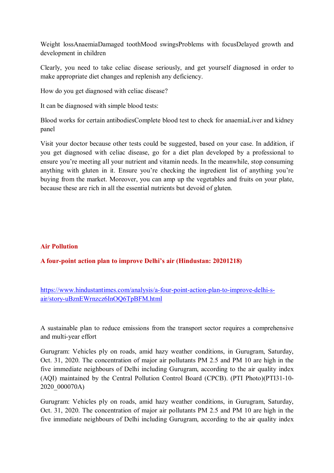Weight lossAnaemiaDamaged toothMood swingsProblems with focusDelayed growth and development in children

Clearly, you need to take celiac disease seriously, and get yourself diagnosed in order to make appropriate diet changes and replenish any deficiency.

How do you get diagnosed with celiac disease?

It can be diagnosed with simple blood tests:

Blood works for certain antibodiesComplete blood test to check for anaemiaLiver and kidney panel

Visit your doctor because other tests could be suggested, based on your case. In addition, if you get diagnosed with celiac disease, go for a diet plan developed by a professional to ensure you're meeting all your nutrient and vitamin needs. In the meanwhile, stop consuming anything with gluten in it. Ensure you're checking the ingredient list of anything you're buying from the market. Moreover, you can amp up the vegetables and fruits on your plate, because these are rich in all the essential nutrients but devoid of gluten.

#### **Air Pollution**

#### **A four-point action plan to improve Delhi's air (Hindustan: 20201218)**

https://www.hindustantimes.com/analysis/a-four-point-action-plan-to-improve-delhi-sair/story-uBznEWrnzcz6InOQ6TpBFM.html

A sustainable plan to reduce emissions from the transport sector requires a comprehensive and multi-year effort

Gurugram: Vehicles ply on roads, amid hazy weather conditions, in Gurugram, Saturday, Oct. 31, 2020. The concentration of major air pollutants PM 2.5 and PM 10 are high in the five immediate neighbours of Delhi including Gurugram, according to the air quality index (AQI) maintained by the Central Pollution Control Board (CPCB). (PTI Photo)(PTI31-10- 2020\_000070A)

Gurugram: Vehicles ply on roads, amid hazy weather conditions, in Gurugram, Saturday, Oct. 31, 2020. The concentration of major air pollutants PM 2.5 and PM 10 are high in the five immediate neighbours of Delhi including Gurugram, according to the air quality index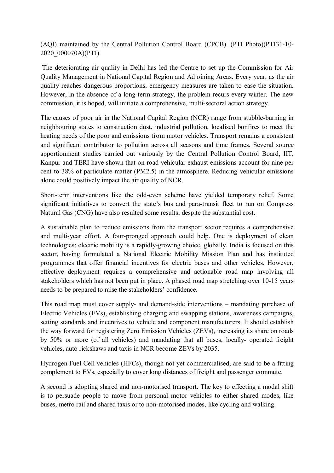(AQI) maintained by the Central Pollution Control Board (CPCB). (PTI Photo)(PTI31-10- 2020\_000070A)(PTI)

 The deteriorating air quality in Delhi has led the Centre to set up the Commission for Air Quality Management in National Capital Region and Adjoining Areas. Every year, as the air quality reaches dangerous proportions, emergency measures are taken to ease the situation. However, in the absence of a long-term strategy, the problem recurs every winter. The new commission, it is hoped, will initiate a comprehensive, multi-sectoral action strategy.

The causes of poor air in the National Capital Region (NCR) range from stubble-burning in neighbouring states to construction dust, industrial pollution, localised bonfires to meet the heating needs of the poor and emissions from motor vehicles. Transport remains a consistent and significant contributor to pollution across all seasons and time frames. Several source apportionment studies carried out variously by the Central Pollution Control Board, IIT, Kanpur and TERI have shown that on-road vehicular exhaust emissions account for nine per cent to 38% of particulate matter (PM2.5) in the atmosphere. Reducing vehicular emissions alone could positively impact the air quality of NCR.

Short-term interventions like the odd-even scheme have yielded temporary relief. Some significant initiatives to convert the state's bus and para-transit fleet to run on Compress Natural Gas (CNG) have also resulted some results, despite the substantial cost.

A sustainable plan to reduce emissions from the transport sector requires a comprehensive and multi-year effort. A four-pronged approach could help. One is deployment of clean technologies; electric mobility is a rapidly-growing choice, globally. India is focused on this sector, having formulated a National Electric Mobility Mission Plan and has instituted programmes that offer financial incentives for electric buses and other vehicles. However, effective deployment requires a comprehensive and actionable road map involving all stakeholders which has not been put in place. A phased road map stretching over 10-15 years needs to be prepared to raise the stakeholders' confidence.

This road map must cover supply- and demand-side interventions – mandating purchase of Electric Vehicles (EVs), establishing charging and swapping stations, awareness campaigns, setting standards and incentives to vehicle and component manufacturers. It should establish the way forward for registering Zero Emission Vehicles (ZEVs), increasing its share on roads by 50% or more (of all vehicles) and mandating that all buses, locally- operated freight vehicles, auto rickshaws and taxis in NCR become ZEVs by 2035.

Hydrogen Fuel Cell vehicles (HFCs), though not yet commercialised, are said to be a fitting complement to EVs, especially to cover long distances of freight and passenger commute.

A second is adopting shared and non-motorised transport. The key to effecting a modal shift is to persuade people to move from personal motor vehicles to either shared modes, like buses, metro rail and shared taxis or to non-motorised modes, like cycling and walking.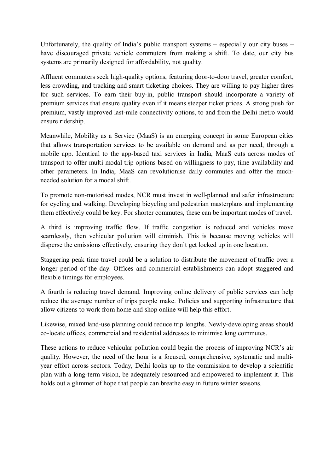Unfortunately, the quality of India's public transport systems – especially our city buses – have discouraged private vehicle commuters from making a shift. To date, our city bus systems are primarily designed for affordability, not quality.

Affluent commuters seek high-quality options, featuring door-to-door travel, greater comfort, less crowding, and tracking and smart ticketing choices. They are willing to pay higher fares for such services. To earn their buy-in, public transport should incorporate a variety of premium services that ensure quality even if it means steeper ticket prices. A strong push for premium, vastly improved last-mile connectivity options, to and from the Delhi metro would ensure ridership.

Meanwhile, Mobility as a Service (MaaS) is an emerging concept in some European cities that allows transportation services to be available on demand and as per need, through a mobile app. Identical to the app-based taxi services in India, MaaS cuts across modes of transport to offer multi-modal trip options based on willingness to pay, time availability and other parameters. In India, MaaS can revolutionise daily commutes and offer the muchneeded solution for a modal shift.

To promote non-motorised modes, NCR must invest in well-planned and safer infrastructure for cycling and walking. Developing bicycling and pedestrian masterplans and implementing them effectively could be key. For shorter commutes, these can be important modes of travel.

A third is improving traffic flow. If traffic congestion is reduced and vehicles move seamlessly, then vehicular pollution will diminish. This is because moving vehicles will disperse the emissions effectively, ensuring they don't get locked up in one location.

Staggering peak time travel could be a solution to distribute the movement of traffic over a longer period of the day. Offices and commercial establishments can adopt staggered and flexible timings for employees.

A fourth is reducing travel demand. Improving online delivery of public services can help reduce the average number of trips people make. Policies and supporting infrastructure that allow citizens to work from home and shop online will help this effort.

Likewise, mixed land-use planning could reduce trip lengths. Newly-developing areas should co-locate offices, commercial and residential addresses to minimise long commutes.

These actions to reduce vehicular pollution could begin the process of improving NCR's air quality. However, the need of the hour is a focused, comprehensive, systematic and multiyear effort across sectors. Today, Delhi looks up to the commission to develop a scientific plan with a long-term vision, be adequately resourced and empowered to implement it. This holds out a glimmer of hope that people can breathe easy in future winter seasons.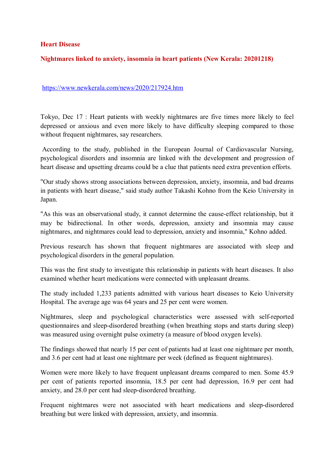#### **Heart Disease**

#### **Nightmares linked to anxiety, insomnia in heart patients (New Kerala: 20201218)**

https://www.newkerala.com/news/2020/217924.htm

Tokyo, Dec 17 : Heart patients with weekly nightmares are five times more likely to feel depressed or anxious and even more likely to have difficulty sleeping compared to those without frequent nightmares, say researchers.

 According to the study, published in the European Journal of Cardiovascular Nursing, psychological disorders and insomnia are linked with the development and progression of heart disease and upsetting dreams could be a clue that patients need extra prevention efforts.

"Our study shows strong associations between depression, anxiety, insomnia, and bad dreams in patients with heart disease," said study author Takashi Kohno from the Keio University in Japan.

"As this was an observational study, it cannot determine the cause-effect relationship, but it may be bidirectional. In other words, depression, anxiety and insomnia may cause nightmares, and nightmares could lead to depression, anxiety and insomnia," Kohno added.

Previous research has shown that frequent nightmares are associated with sleep and psychological disorders in the general population.

This was the first study to investigate this relationship in patients with heart diseases. It also examined whether heart medications were connected with unpleasant dreams.

The study included 1,233 patients admitted with various heart diseases to Keio University Hospital. The average age was 64 years and 25 per cent were women.

Nightmares, sleep and psychological characteristics were assessed with self-reported questionnaires and sleep-disordered breathing (when breathing stops and starts during sleep) was measured using overnight pulse oximetry (a measure of blood oxygen levels).

The findings showed that nearly 15 per cent of patients had at least one nightmare per month, and 3.6 per cent had at least one nightmare per week (defined as frequent nightmares).

Women were more likely to have frequent unpleasant dreams compared to men. Some 45.9 per cent of patients reported insomnia, 18.5 per cent had depression, 16.9 per cent had anxiety, and 28.0 per cent had sleep-disordered breathing.

Frequent nightmares were not associated with heart medications and sleep-disordered breathing but were linked with depression, anxiety, and insomnia.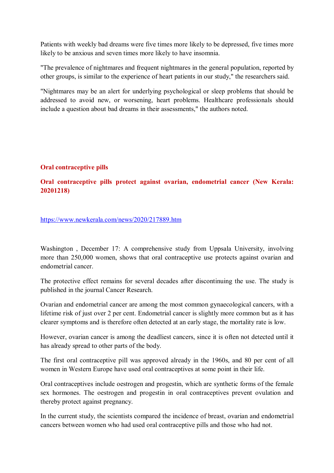Patients with weekly bad dreams were five times more likely to be depressed, five times more likely to be anxious and seven times more likely to have insomnia.

"The prevalence of nightmares and frequent nightmares in the general population, reported by other groups, is similar to the experience of heart patients in our study," the researchers said.

"Nightmares may be an alert for underlying psychological or sleep problems that should be addressed to avoid new, or worsening, heart problems. Healthcare professionals should include a question about bad dreams in their assessments," the authors noted.

#### **Oral contraceptive pills**

#### **Oral contraceptive pills protect against ovarian, endometrial cancer (New Kerala: 20201218)**

#### https://www.newkerala.com/news/2020/217889.htm

Washington , December 17: A comprehensive study from Uppsala University, involving more than 250,000 women, shows that oral contraceptive use protects against ovarian and endometrial cancer.

The protective effect remains for several decades after discontinuing the use. The study is published in the journal Cancer Research.

Ovarian and endometrial cancer are among the most common gynaecological cancers, with a lifetime risk of just over 2 per cent. Endometrial cancer is slightly more common but as it has clearer symptoms and is therefore often detected at an early stage, the mortality rate is low.

However, ovarian cancer is among the deadliest cancers, since it is often not detected until it has already spread to other parts of the body.

The first oral contraceptive pill was approved already in the 1960s, and 80 per cent of all women in Western Europe have used oral contraceptives at some point in their life.

Oral contraceptives include oestrogen and progestin, which are synthetic forms of the female sex hormones. The oestrogen and progestin in oral contraceptives prevent ovulation and thereby protect against pregnancy.

In the current study, the scientists compared the incidence of breast, ovarian and endometrial cancers between women who had used oral contraceptive pills and those who had not.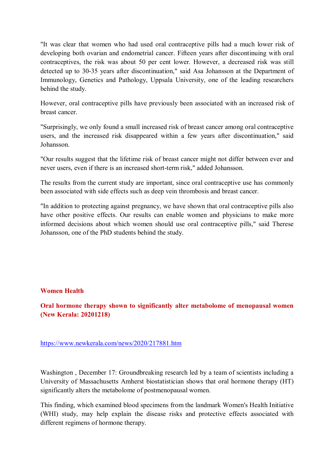"It was clear that women who had used oral contraceptive pills had a much lower risk of developing both ovarian and endometrial cancer. Fifteen years after discontinuing with oral contraceptives, the risk was about 50 per cent lower. However, a decreased risk was still detected up to 30-35 years after discontinuation," said Asa Johansson at the Department of Immunology, Genetics and Pathology, Uppsala University, one of the leading researchers behind the study.

However, oral contraceptive pills have previously been associated with an increased risk of breast cancer.

"Surprisingly, we only found a small increased risk of breast cancer among oral contraceptive users, and the increased risk disappeared within a few years after discontinuation," said Johansson.

"Our results suggest that the lifetime risk of breast cancer might not differ between ever and never users, even if there is an increased short-term risk," added Johansson.

The results from the current study are important, since oral contraceptive use has commonly been associated with side effects such as deep vein thrombosis and breast cancer.

"In addition to protecting against pregnancy, we have shown that oral contraceptive pills also have other positive effects. Our results can enable women and physicians to make more informed decisions about which women should use oral contraceptive pills," said Therese Johansson, one of the PhD students behind the study.

#### **Women Health**

**Oral hormone therapy shown to significantly alter metabolome of menopausal women (New Kerala: 20201218)** 

#### https://www.newkerala.com/news/2020/217881.htm

Washington, December 17: Groundbreaking research led by a team of scientists including a University of Massachusetts Amherst biostatistician shows that oral hormone therapy (HT) significantly alters the metabolome of postmenopausal women.

This finding, which examined blood specimens from the landmark Women's Health Initiative (WHI) study, may help explain the disease risks and protective effects associated with different regimens of hormone therapy.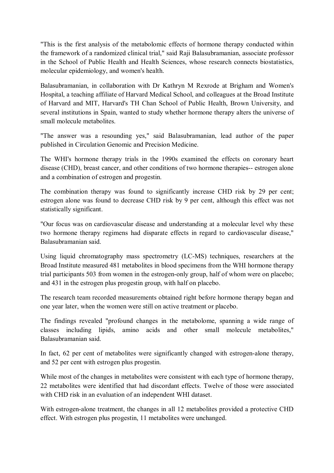"This is the first analysis of the metabolomic effects of hormone therapy conducted within the framework of a randomized clinical trial," said Raji Balasubramanian, associate professor in the School of Public Health and Health Sciences, whose research connects biostatistics, molecular epidemiology, and women's health.

Balasubramanian, in collaboration with Dr Kathryn M Rexrode at Brigham and Women's Hospital, a teaching affiliate of Harvard Medical School, and colleagues at the Broad Institute of Harvard and MIT, Harvard's TH Chan School of Public Health, Brown University, and several institutions in Spain, wanted to study whether hormone therapy alters the universe of small molecule metabolites.

"The answer was a resounding yes," said Balasubramanian, lead author of the paper published in Circulation Genomic and Precision Medicine.

The WHI's hormone therapy trials in the 1990s examined the effects on coronary heart disease (CHD), breast cancer, and other conditions of two hormone therapies-- estrogen alone and a combination of estrogen and progestin.

The combination therapy was found to significantly increase CHD risk by 29 per cent; estrogen alone was found to decrease CHD risk by 9 per cent, although this effect was not statistically significant.

"Our focus was on cardiovascular disease and understanding at a molecular level why these two hormone therapy regimens had disparate effects in regard to cardiovascular disease," Balasubramanian said.

Using liquid chromatography mass spectrometry (LC-MS) techniques, researchers at the Broad Institute measured 481 metabolites in blood specimens from the WHI hormone therapy trial participants 503 from women in the estrogen-only group, half of whom were on placebo; and 431 in the estrogen plus progestin group, with half on placebo.

The research team recorded measurements obtained right before hormone therapy began and one year later, when the women were still on active treatment or placebo.

The findings revealed "profound changes in the metabolome, spanning a wide range of classes including lipids, amino acids and other small molecule metabolites," Balasubramanian said.

In fact, 62 per cent of metabolites were significantly changed with estrogen-alone therapy, and 52 per cent with estrogen plus progestin.

While most of the changes in metabolites were consistent with each type of hormone therapy, 22 metabolites were identified that had discordant effects. Twelve of those were associated with CHD risk in an evaluation of an independent WHI dataset.

With estrogen-alone treatment, the changes in all 12 metabolites provided a protective CHD effect. With estrogen plus progestin, 11 metabolites were unchanged.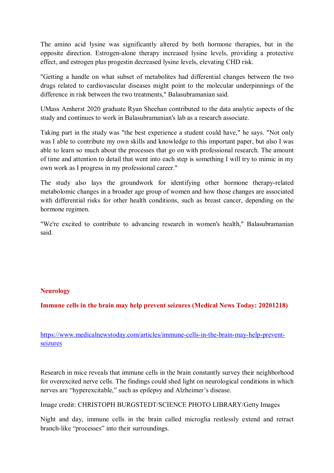The amino acid lysine was significantly altered by both hormone therapies, but in the opposite direction. Estrogen-alone therapy increased lysine levels, providing a protective effect, and estrogen plus progestin decreased lysine levels, elevating CHD risk.

"Getting a handle on what subset of metabolites had differential changes between the two drugs related to cardiovascular diseases might point to the molecular underpinnings of the difference in risk between the two treatments," Balasubramanian said.

UMass Amherst 2020 graduate Ryan Sheehan contributed to the data analytic aspects of the study and continues to work in Balasubramanian's lab as a research associate.

Taking part in the study was "the best experience a student could have," he says. "Not only was I able to contribute my own skills and knowledge to this important paper, but also I was able to learn so much about the processes that go on with professional research. The amount of time and attention to detail that went into each step is something I will try to mimic in my own work as I progress in my professional career."

The study also lays the groundwork for identifying other hormone therapy-related metabolomic changes in a broader age group of women and how those changes are associated with differential risks for other health conditions, such as breast cancer, depending on the hormone regimen.

"We're excited to contribute to advancing research in women's health," Balasubramanian said.

#### **Neurology**

**Immune cells in the brain may help prevent seizures (Medical News Today: 20201218)** 

https://www.medicalnewstoday.com/articles/immune-cells-in-the-brain-may-help-preventseizures

Research in mice reveals that immune cells in the brain constantly survey their neighborhood for overexcited nerve cells. The findings could shed light on neurological conditions in which nerves are "hyperexcitable," such as epilepsy and Alzheimer's disease.

Image credit: CHRISTOPH BURGSTEDT/SCIENCE PHOTO LIBRARY/Getty Images

Night and day, immune cells in the brain called microglia restlessly extend and retract branch-like "processes" into their surroundings.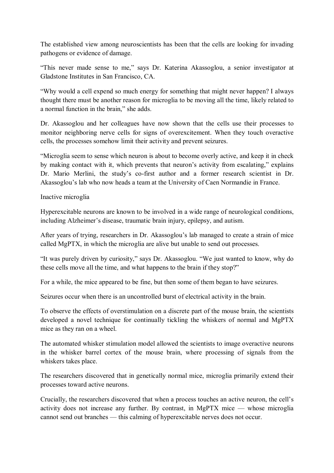The established view among neuroscientists has been that the cells are looking for invading pathogens or evidence of damage.

"This never made sense to me," says Dr. Katerina Akassoglou, a senior investigator at Gladstone Institutes in San Francisco, CA.

"Why would a cell expend so much energy for something that might never happen? I always thought there must be another reason for microglia to be moving all the time, likely related to a normal function in the brain," she adds.

Dr. Akassoglou and her colleagues have now shown that the cells use their processes to monitor neighboring nerve cells for signs of overexcitement. When they touch overactive cells, the processes somehow limit their activity and prevent seizures.

"Microglia seem to sense which neuron is about to become overly active, and keep it in check by making contact with it, which prevents that neuron's activity from escalating," explains Dr. Mario Merlini, the study's co-first author and a former research scientist in Dr. Akassoglou's lab who now heads a team at the University of Caen Normandie in France.

Inactive microglia

Hyperexcitable neurons are known to be involved in a wide range of neurological conditions, including Alzheimer's disease, traumatic brain injury, epilepsy, and autism.

After years of trying, researchers in Dr. Akassoglou's lab managed to create a strain of mice called MgPTX, in which the microglia are alive but unable to send out processes.

"It was purely driven by curiosity," says Dr. Akassoglou. "We just wanted to know, why do these cells move all the time, and what happens to the brain if they stop?"

For a while, the mice appeared to be fine, but then some of them began to have seizures.

Seizures occur when there is an uncontrolled burst of electrical activity in the brain.

To observe the effects of overstimulation on a discrete part of the mouse brain, the scientists developed a novel technique for continually tickling the whiskers of normal and MgPTX mice as they ran on a wheel.

The automated whisker stimulation model allowed the scientists to image overactive neurons in the whisker barrel cortex of the mouse brain, where processing of signals from the whiskers takes place.

The researchers discovered that in genetically normal mice, microglia primarily extend their processes toward active neurons.

Crucially, the researchers discovered that when a process touches an active neuron, the cell's activity does not increase any further. By contrast, in MgPTX mice — whose microglia cannot send out branches — this calming of hyperexcitable nerves does not occur.